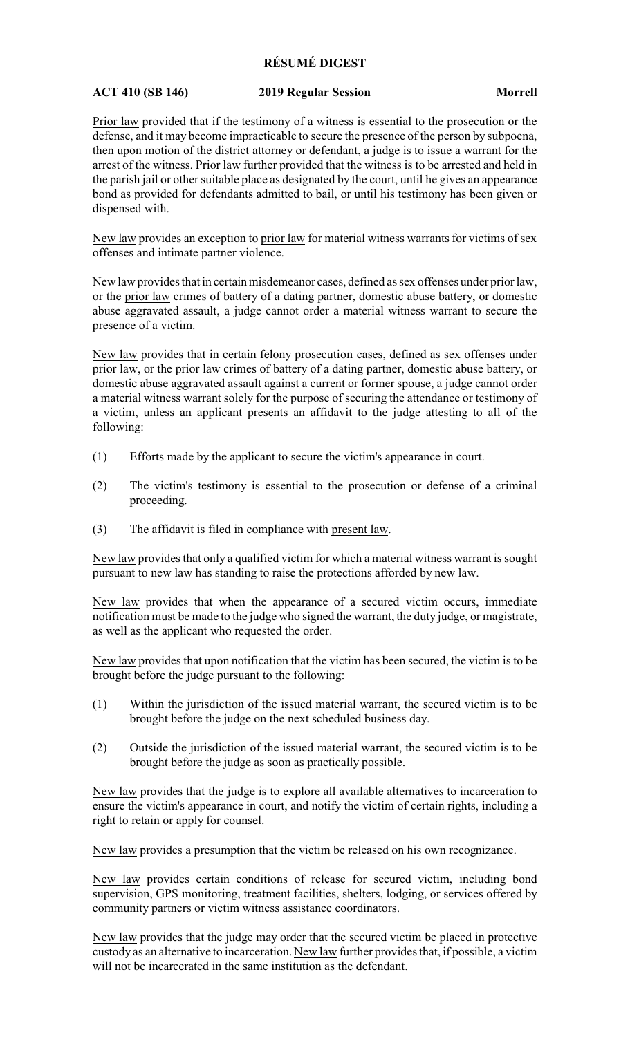## **RÉSUMÉ DIGEST**

## **ACT 410 (SB 146) 2019 Regular Session Morrell**

Prior law provided that if the testimony of a witness is essential to the prosecution or the defense, and it may become impracticable to secure the presence of the person by subpoena, then upon motion of the district attorney or defendant, a judge is to issue a warrant for the arrest of the witness. Prior law further provided that the witness is to be arrested and held in the parish jail or other suitable place as designated by the court, until he gives an appearance bond as provided for defendants admitted to bail, or until his testimony has been given or dispensed with.

New law provides an exception to prior law for material witness warrants for victims of sex offenses and intimate partner violence.

New law provides that in certain misdemeanor cases, defined as sex offenses under prior law, or the prior law crimes of battery of a dating partner, domestic abuse battery, or domestic abuse aggravated assault, a judge cannot order a material witness warrant to secure the presence of a victim.

New law provides that in certain felony prosecution cases, defined as sex offenses under prior law, or the prior law crimes of battery of a dating partner, domestic abuse battery, or domestic abuse aggravated assault against a current or former spouse, a judge cannot order a material witness warrant solely for the purpose of securing the attendance or testimony of a victim, unless an applicant presents an affidavit to the judge attesting to all of the following:

- (1) Efforts made by the applicant to secure the victim's appearance in court.
- (2) The victim's testimony is essential to the prosecution or defense of a criminal proceeding.
- (3) The affidavit is filed in compliance with present law.

New law provides that only a qualified victim for which a material witness warrant is sought pursuant to new law has standing to raise the protections afforded by new law.

New law provides that when the appearance of a secured victim occurs, immediate notification must be made to the judge who signed the warrant, the duty judge, or magistrate, as well as the applicant who requested the order.

New law provides that upon notification that the victim has been secured, the victim is to be brought before the judge pursuant to the following:

- (1) Within the jurisdiction of the issued material warrant, the secured victim is to be brought before the judge on the next scheduled business day.
- (2) Outside the jurisdiction of the issued material warrant, the secured victim is to be brought before the judge as soon as practically possible.

New law provides that the judge is to explore all available alternatives to incarceration to ensure the victim's appearance in court, and notify the victim of certain rights, including a right to retain or apply for counsel.

New law provides a presumption that the victim be released on his own recognizance.

New law provides certain conditions of release for secured victim, including bond supervision, GPS monitoring, treatment facilities, shelters, lodging, or services offered by community partners or victim witness assistance coordinators.

New law provides that the judge may order that the secured victim be placed in protective custody as an alternative to incarceration. New law further provides that, if possible, a victim will not be incarcerated in the same institution as the defendant.